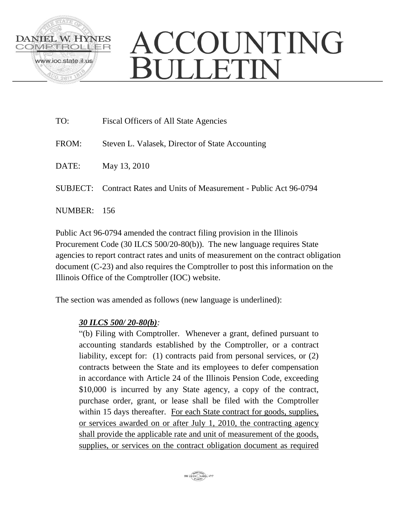

## ACCOUNTING BULLETIN

| TO:         | Fiscal Officers of All State Agencies                                 |
|-------------|-----------------------------------------------------------------------|
| FROM:       | Steven L. Valasek, Director of State Accounting                       |
| DATE:       | May 13, 2010                                                          |
|             | SUBJECT: Contract Rates and Units of Measurement - Public Act 96-0794 |
| NUMBER: 156 |                                                                       |

Public Act 96-0794 amended the contract filing provision in the Illinois Procurement Code (30 ILCS 500/20-80(b)). The new language requires State agencies to report contract rates and units of measurement on the contract obligation document (C-23) and also requires the Comptroller to post this information on the Illinois Office of the Comptroller (IOC) website.

The section was amended as follows (new language is underlined):

## *30 ILCS 500/ 20-80(b):*

"(b) Filing with Comptroller. Whenever a grant, defined pursuant to accounting standards established by the Comptroller, or a contract liability, except for: (1) contracts paid from personal services, or (2) contracts between the State and its employees to defer compensation in accordance with Article 24 of the Illinois Pension Code, exceeding \$10,000 is incurred by any State agency, a copy of the contract, purchase order, grant, or lease shall be filed with the Comptroller within 15 days thereafter. For each State contract for goods, supplies, or services awarded on or after July 1, 2010, the contracting agency shall provide the applicable rate and unit of measurement of the goods, supplies, or services on the contract obligation document as required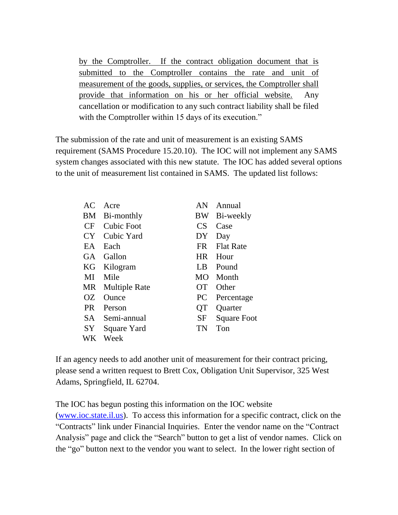by the Comptroller. If the contract obligation document that is submitted to the Comptroller contains the rate and unit of measurement of the goods, supplies, or services, the Comptroller shall provide that information on his or her official website. Any cancellation or modification to any such contract liability shall be filed with the Comptroller within 15 days of its execution."

The submission of the rate and unit of measurement is an existing SAMS requirement (SAMS Procedure 15.20.10). The IOC will not implement any SAMS system changes associated with this new statute. The IOC has added several options to the unit of measurement list contained in SAMS. The updated list follows:

| AC        | Acre                 | AN        | Annual             |
|-----------|----------------------|-----------|--------------------|
| BM        | Bi-monthly           | BW        | Bi-weekly          |
|           | CF Cubic Foot        | <b>CS</b> | Case               |
|           | CY Cubic Yard        | DY.       | Day                |
| EA        | Each                 | <b>FR</b> | <b>Flat Rate</b>   |
| GA -      | Gallon               | HR.       | Hour               |
| KG        | Kilogram             | LB        | Pound              |
| MI        | Mile                 | MO.       | Month              |
| MR        | <b>Multiple Rate</b> | <b>OT</b> | Other              |
| OΖ        | Ounce                | PC        | Percentage         |
| <b>PR</b> | Person               | OТ        | Quarter            |
|           | SA Semi-annual       | $\rm SF$  | <b>Square Foot</b> |
| SY        | Square Yard          | TN        | Ton                |
| WK.       | Week                 |           |                    |

If an agency needs to add another unit of measurement for their contract pricing, please send a written request to Brett Cox, Obligation Unit Supervisor, 325 West Adams, Springfield, IL 62704.

The IOC has begun posting this information on the IOC website [\(www.ioc.state.il.us\)](http://www.ioc.state.il.us/). To access this information for a specific contract, click on the "Contracts" link under Financial Inquiries. Enter the vendor name on the "Contract Analysis" page and click the "Search" button to get a list of vendor names. Click on the "go" button next to the vendor you want to select. In the lower right section of